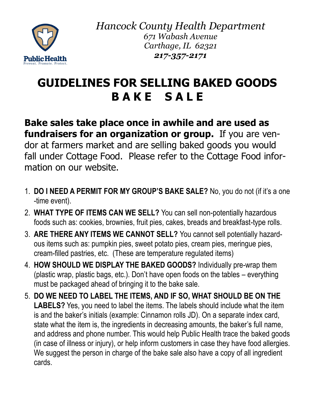

*Hancock County Health Department 671 Wabash Avenue Carthage, IL 62321 217-357-2171*

## **GUIDELINES FOR SELLING BAKED GOODS B A K E S A L E**

**Bake sales take place once in awhile and are used as fundraisers for an organization or group.** If you are vendor at farmers market and are selling baked goods you would fall under Cottage Food. Please refer to the Cottage Food information on our website.

- 1. **DO I NEED A PERMIT FOR MY GROUP'S BAKE SALE?** No, you do not (if it's a one -time event).
- 2. **WHAT TYPE OF ITEMS CAN WE SELL?** You can sell non-potentially hazardous foods such as: cookies, brownies, fruit pies, cakes, breads and breakfast-type rolls.
- 3. **ARE THERE ANY ITEMS WE CANNOT SELL?** You cannot sell potentially hazardous items such as: pumpkin pies, sweet potato pies, cream pies, meringue pies, cream-filled pastries, etc. (These are temperature regulated items)
- 4. **HOW SHOULD WE DISPLAY THE BAKED GOODS?** Individually pre-wrap them (plastic wrap, plastic bags, etc.). Don't have open foods on the tables – everything must be packaged ahead of bringing it to the bake sale.
- 5. **DO WE NEED TO LABEL THE ITEMS, AND IF SO, WHAT SHOULD BE ON THE LABELS?** Yes, you need to label the items. The labels should include what the item is and the baker's initials (example: Cinnamon rolls JD). On a separate index card, state what the item is, the ingredients in decreasing amounts, the baker's full name, and address and phone number. This would help Public Health trace the baked goods (in case of illness or injury), or help inform customers in case they have food allergies. We suggest the person in charge of the bake sale also have a copy of all ingredient cards.